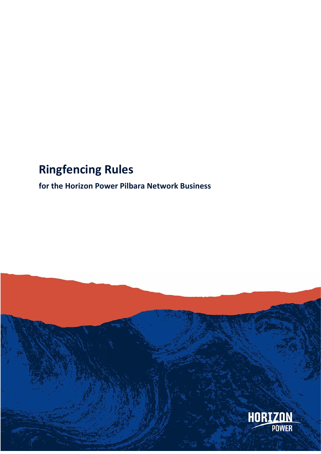# **Ringfencing Rules**

**for the Horizon Power Pilbara Network Business**

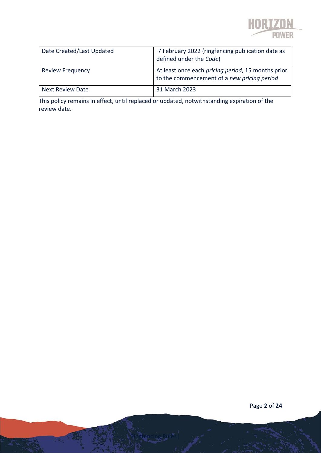

| Date Created/Last Updated | 7 February 2022 (ringfencing publication date as<br>defined under the Code)                       |
|---------------------------|---------------------------------------------------------------------------------------------------|
| <b>Review Frequency</b>   | At least once each pricing period, 15 months prior<br>to the commencement of a new pricing period |
| <b>Next Review Date</b>   | 31 March 2023                                                                                     |

This policy remains in effect, until replaced or updated, notwithstanding expiration of the review date.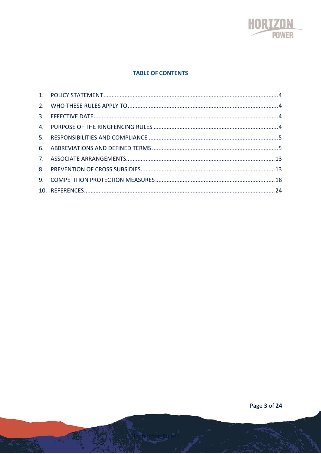

#### **TABLE OF CONTENTS**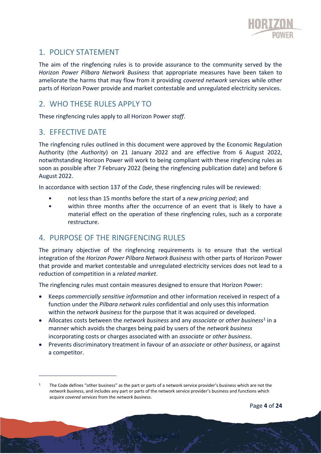

# <span id="page-3-0"></span>1. POLICY STATEMENT

The aim of the ringfencing rules is to provide assurance to the community served by the *Horizon Power Pilbara Network Business* that appropriate measures have been taken to ameliorate the harms that may flow from it providing *covered network* services while other parts of Horizon Power provide and market contestable and unregulated electricity services.

# <span id="page-3-1"></span>2. WHO THESE RULES APPLY TO

These ringfencing rules apply to all Horizon Power *staff*.

# <span id="page-3-2"></span>3. EFFECTIVE DATE

The ringfencing rules outlined in this document were approved by the Economic Regulation Authority (the *Authority*) on 21 January 2022 and are effective from 6 August 2022, notwithstanding Horizon Power will work to being compliant with these ringfencing rules as soon as possible after 7 February 2022 (being the ringfencing publication date) and before 6 August 2022.

In accordance with section 137 of the *Code*, these ringfencing rules will be reviewed:

- not less than 15 months before the start of a *new pricing period*; and
- within three months after the occurrence of an event that is likely to have a material effect on the operation of these ringfencing rules, such as a corporate restructure.

# <span id="page-3-3"></span>4. PURPOSE OF THE RINGFENCING RULES

The primary objective of the ringfencing requirements is to ensure that the vertical integration of the *Horizon Power Pilbara Network Business* with other parts of Horizon Power that provide and market contestable and unregulated electricity services does not lead to a reduction of competition in a *related market*.

The ringfencing rules must contain measures designed to ensure that Horizon Power:

- Keeps *commercially sensitive information* and other information received in respect of a function under the *Pilbara network rules* confidential and only uses this information within the *network business* for the purpose that it was acquired or developed.
- Allocates costs between the *network business* and any *associate* or *other business*<sup>1</sup> in a manner which avoids the charges being paid by users of the *network business* incorporating costs or charges associated with an *associate* or *other business*.
- Prevents discriminatory treatment in favour of an *associate* or *other business*, or against a competitor.

The Code defines "other business" as the part or parts of a network service provider's business which are not the *network business*, and includes any part or parts of the network service provider's business and functions which acquire *covered services* from the *network business*.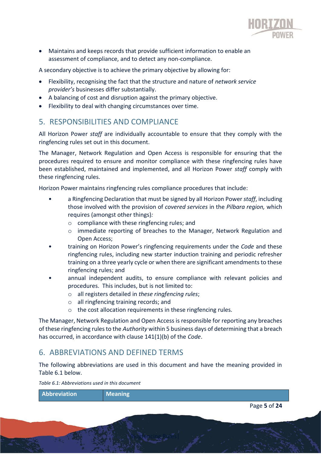

• Maintains and keeps records that provide sufficient information to enable an assessment of compliance, and to detect any non-compliance.

A secondary objective is to achieve the primary objective by allowing for:

- Flexibility, recognising the fact that the structure and nature of *network service provider's* businesses differ substantially.
- A balancing of cost and disruption against the primary objective.
- Flexibility to deal with changing circumstances over time.

### <span id="page-4-0"></span>5. RESPONSIBILITIES AND COMPLIANCE

All Horizon Power *staff* are individually accountable to ensure that they comply with the ringfencing rules set out in this document.

The Manager, Network Regulation and Open Access is responsible for ensuring that the procedures required to ensure and monitor compliance with these ringfencing rules have been established, maintained and implemented, and all Horizon Power *staff* comply with these ringfencing rules.

Horizon Power maintains ringfencing rules compliance procedures that include:

- a Ringfencing Declaration that must be signed by all Horizon Power *staff*, including those involved with the provision of *covered services* in the *Pilbara region,* which requires (amongst other things)*:*
	- o compliance with these ringfencing rules; and
	- o immediate reporting of breaches to the Manager, Network Regulation and Open Access;
- training on Horizon Power's ringfencing requirements under the *Code* and these ringfencing rules, including new starter induction training and periodic refresher training on a three yearly cycle or when there are significant amendments to these ringfencing rules; and
- annual independent audits, to ensure compliance with relevant policies and procedures. This includes, but is not limited to:
	- o all registers detailed in *these ringfencing rules*;
	- o all ringfencing training records; and
	- o the cost allocation requirements in these ringfencing rules.

The Manager, Network Regulation and Open Access is responsible for reporting any breaches of these ringfencing rules to the *Authority* within 5 business days of determining that a breach has occurred, in accordance with clause 141(1)(b) of the *Code*.

# <span id="page-4-1"></span>6. ABBREVIATIONS AND DEFINED TERMS

The following abbreviations are used in this document and have the meaning provided in [Table 6.1](#page-4-2) below.

<span id="page-4-2"></span>*Table 6.1: Abbreviations used in this document*

Page **5** of **24 Abbreviation Meaning**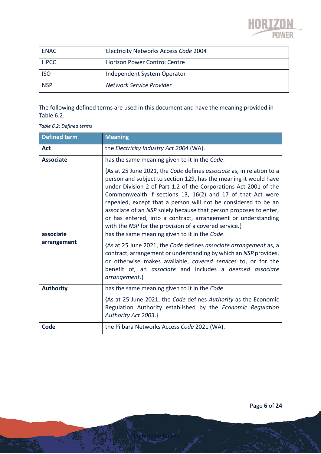

| <b>ENAC</b> | Electricity Networks Access Code 2004 |
|-------------|---------------------------------------|
| <b>HPCC</b> | <b>Horizon Power Control Centre</b>   |
| <b>ISO</b>  | Independent System Operator           |
| <b>NSP</b>  | Network Service Provider              |

The following defined terms are used in this document and have the meaning provided in [Table](#page-5-0) 6.2.

<span id="page-5-0"></span>*Table 6.2: Defined terms*

| <b>Defined term</b> | <b>Meaning</b>                                                                                                                                                                                                                                                                                                                                                                                                                                                                                                                              |
|---------------------|---------------------------------------------------------------------------------------------------------------------------------------------------------------------------------------------------------------------------------------------------------------------------------------------------------------------------------------------------------------------------------------------------------------------------------------------------------------------------------------------------------------------------------------------|
| <b>Act</b>          | the Electricity Industry Act 2004 (WA).                                                                                                                                                                                                                                                                                                                                                                                                                                                                                                     |
| <b>Associate</b>    | has the same meaning given to it in the Code.                                                                                                                                                                                                                                                                                                                                                                                                                                                                                               |
|                     | {As at 25 June 2021, the Code defines associate as, in relation to a<br>person and subject to section 129, has the meaning it would have<br>under Division 2 of Part 1.2 of the Corporations Act 2001 of the<br>Commonwealth if sections 13, 16(2) and 17 of that Act were<br>repealed, except that a person will not be considered to be an<br>associate of an NSP solely because that person proposes to enter,<br>or has entered, into a contract, arrangement or understanding<br>with the NSP for the provision of a covered service.} |
| associate           | has the same meaning given to it in the Code.                                                                                                                                                                                                                                                                                                                                                                                                                                                                                               |
| arrangement         | {As at 25 June 2021, the Code defines associate arrangement as, a<br>contract, arrangement or understanding by which an NSP provides,<br>or otherwise makes available, covered services to, or for the<br>benefit of, an associate and includes a deemed associate<br>arrangement.}                                                                                                                                                                                                                                                         |
| <b>Authority</b>    | has the same meaning given to it in the Code.                                                                                                                                                                                                                                                                                                                                                                                                                                                                                               |
|                     | {As at 25 June 2021, the Code defines Authority as the Economic<br>Regulation Authority established by the Economic Regulation<br>Authority Act 2003.}                                                                                                                                                                                                                                                                                                                                                                                      |
| Code                | the Pilbara Networks Access Code 2021 (WA).                                                                                                                                                                                                                                                                                                                                                                                                                                                                                                 |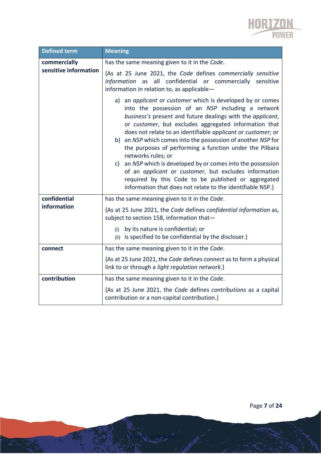

| <b>Defined term</b>   | <b>Meaning</b>                                                                                                                                                                                                                                                                                                                                                                                                                                                                                                                                                                                                                                                                                                            |
|-----------------------|---------------------------------------------------------------------------------------------------------------------------------------------------------------------------------------------------------------------------------------------------------------------------------------------------------------------------------------------------------------------------------------------------------------------------------------------------------------------------------------------------------------------------------------------------------------------------------------------------------------------------------------------------------------------------------------------------------------------------|
| commercially          | has the same meaning given to it in the Code.                                                                                                                                                                                                                                                                                                                                                                                                                                                                                                                                                                                                                                                                             |
| sensitive information | {As at 25 June 2021, the Code defines commercially sensitive<br>all confidential or commercially<br>information<br>sensitive<br>as<br>information in relation to, as applicable-                                                                                                                                                                                                                                                                                                                                                                                                                                                                                                                                          |
|                       | a) an <i>applicant</i> or <i>customer</i> which is developed by or comes<br>into the possession of an NSP including a network<br>business's present and future dealings with the applicant,<br>or customer, but excludes aggregated information that<br>does not relate to an identifiable applicant or customer; or<br>an NSP which comes into the possession of another NSP for<br>b)<br>the purposes of performing a function under the Pilbara<br>networks rules; or<br>an NSP which is developed by or comes into the possession<br>c)<br>of an applicant or customer, but excludes information<br>required by this Code to be published or aggregated<br>information that does not relate to the identifiable NSP.} |
| confidential          | has the same meaning given to it in the Code.                                                                                                                                                                                                                                                                                                                                                                                                                                                                                                                                                                                                                                                                             |
| information           | {As at 25 June 2021, the Code defines confidential information as,<br>subject to section 158, information that-                                                                                                                                                                                                                                                                                                                                                                                                                                                                                                                                                                                                           |
|                       | by its nature is confidential; or<br>(i)<br>(ii) is specified to be confidential by the discloser.}                                                                                                                                                                                                                                                                                                                                                                                                                                                                                                                                                                                                                       |
| connect               | has the same meaning given to it in the Code.                                                                                                                                                                                                                                                                                                                                                                                                                                                                                                                                                                                                                                                                             |
|                       | {As at 25 June 2021, the Code defines connect as to form a physical<br>link to or through a light regulation network.}                                                                                                                                                                                                                                                                                                                                                                                                                                                                                                                                                                                                    |
| contribution          | has the same meaning given to it in the Code.                                                                                                                                                                                                                                                                                                                                                                                                                                                                                                                                                                                                                                                                             |
|                       | {As at 25 June 2021, the Code defines contributions as a capital<br>contribution or a non-capital contribution.}                                                                                                                                                                                                                                                                                                                                                                                                                                                                                                                                                                                                          |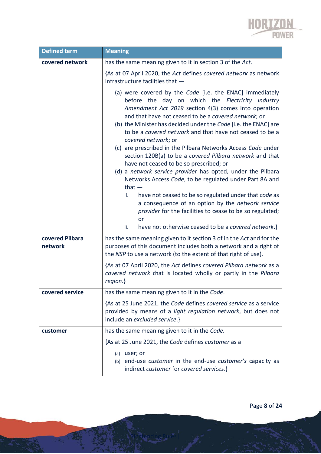

| <b>Defined term</b> | <b>Meaning</b>                                                                                                                                                                                                                                                                                                                                                                                                                                                                                                                                                                                                                                                                                                                                                                                                                                                                                                                                      |
|---------------------|-----------------------------------------------------------------------------------------------------------------------------------------------------------------------------------------------------------------------------------------------------------------------------------------------------------------------------------------------------------------------------------------------------------------------------------------------------------------------------------------------------------------------------------------------------------------------------------------------------------------------------------------------------------------------------------------------------------------------------------------------------------------------------------------------------------------------------------------------------------------------------------------------------------------------------------------------------|
| covered network     | has the same meaning given to it in section 3 of the Act.                                                                                                                                                                                                                                                                                                                                                                                                                                                                                                                                                                                                                                                                                                                                                                                                                                                                                           |
|                     | {As at 07 April 2020, the Act defines covered network as network<br>infrastructure facilities that -                                                                                                                                                                                                                                                                                                                                                                                                                                                                                                                                                                                                                                                                                                                                                                                                                                                |
|                     | (a) were covered by the Code [i.e. the ENAC] immediately<br>before the day on which the Electricity Industry<br>Amendment Act 2019 section 4(3) comes into operation<br>and that have not ceased to be a covered network; or<br>(b) the Minister has decided under the Code [i.e. the ENAC] are<br>to be a covered network and that have not ceased to be a<br>covered network; or<br>(c) are prescribed in the Pilbara Networks Access Code under<br>section 120B(a) to be a covered Pilbara network and that<br>have not ceased to be so prescribed; or<br>(d) a network service provider has opted, under the Pilbara<br>Networks Access Code, to be regulated under Part 8A and<br>that $-$<br>have not ceased to be so regulated under that code as<br>i.<br>a consequence of an option by the network service<br>provider for the facilities to cease to be so regulated;<br>or<br>have not otherwise ceased to be a covered network.}<br>ii. |
| covered Pilbara     | has the same meaning given to it section 3 of in the Act and for the                                                                                                                                                                                                                                                                                                                                                                                                                                                                                                                                                                                                                                                                                                                                                                                                                                                                                |
| network             | purposes of this document includes both a network and a right of<br>the NSP to use a network (to the extent of that right of use).                                                                                                                                                                                                                                                                                                                                                                                                                                                                                                                                                                                                                                                                                                                                                                                                                  |
|                     | {As at 07 April 2020, the Act defines covered Pilbara network as a<br>covered network that is located wholly or partly in the Pilbara<br>$region.\}$                                                                                                                                                                                                                                                                                                                                                                                                                                                                                                                                                                                                                                                                                                                                                                                                |
| covered service     | has the same meaning given to it in the Code.                                                                                                                                                                                                                                                                                                                                                                                                                                                                                                                                                                                                                                                                                                                                                                                                                                                                                                       |
|                     | {As at 25 June 2021, the Code defines covered service as a service<br>provided by means of a light regulation network, but does not<br>include an excluded service.}                                                                                                                                                                                                                                                                                                                                                                                                                                                                                                                                                                                                                                                                                                                                                                                |
| customer            | has the same meaning given to it in the Code.                                                                                                                                                                                                                                                                                                                                                                                                                                                                                                                                                                                                                                                                                                                                                                                                                                                                                                       |
|                     | {As at 25 June 2021, the Code defines customer as a-                                                                                                                                                                                                                                                                                                                                                                                                                                                                                                                                                                                                                                                                                                                                                                                                                                                                                                |
|                     | (a) user; or<br>(b) end-use customer in the end-use customer's capacity as<br>indirect customer for covered services.}                                                                                                                                                                                                                                                                                                                                                                                                                                                                                                                                                                                                                                                                                                                                                                                                                              |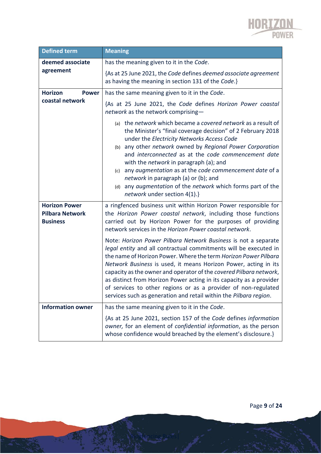

| <b>Defined term</b>                                               | <b>Meaning</b>                                                                                                                                                                                                                                                                                                                                                                                                                                                                                                                                               |
|-------------------------------------------------------------------|--------------------------------------------------------------------------------------------------------------------------------------------------------------------------------------------------------------------------------------------------------------------------------------------------------------------------------------------------------------------------------------------------------------------------------------------------------------------------------------------------------------------------------------------------------------|
| deemed associate                                                  | has the meaning given to it in the Code.                                                                                                                                                                                                                                                                                                                                                                                                                                                                                                                     |
| agreement                                                         | {As at 25 June 2021, the Code defines deemed associate agreement<br>as having the meaning in section 131 of the Code.}                                                                                                                                                                                                                                                                                                                                                                                                                                       |
| <b>Horizon</b><br><b>Power</b>                                    | has the same meaning given to it in the Code.                                                                                                                                                                                                                                                                                                                                                                                                                                                                                                                |
| coastal network                                                   | {As at 25 June 2021, the Code defines Horizon Power coastal<br>network as the network comprising-                                                                                                                                                                                                                                                                                                                                                                                                                                                            |
|                                                                   | (a) the network which became a covered network as a result of<br>the Minister's "final coverage decision" of 2 February 2018<br>under the Electricity Networks Access Code<br>any other network owned by Regional Power Corporation<br>(b)<br>and interconnected as at the code commencement date<br>with the <i>network</i> in paragraph (a); and<br>(c) any augmentation as at the code commencement date of a<br>network in paragraph (a) or (b); and<br>(d) any augmentation of the network which forms part of the<br>network under section 4(1).}      |
| <b>Horizon Power</b><br><b>Pilbara Network</b><br><b>Business</b> | a ringfenced business unit within Horizon Power responsible for<br>the Horizon Power coastal network, including those functions<br>carried out by Horizon Power for the purposes of providing<br>network services in the Horizon Power coastal network.                                                                                                                                                                                                                                                                                                      |
|                                                                   | Note: Horizon Power Pilbara Network Business is not a separate<br>legal entity and all contractual commitments will be executed in<br>the name of Horizon Power. Where the term Horizon Power Pilbara<br>Network Business is used, it means Horizon Power, acting in its<br>capacity as the owner and operator of the covered Pilbara network,<br>as distinct from Horizon Power acting in its capacity as a provider<br>of services to other regions or as a provider of non-regulated<br>services such as generation and retail within the Pilbara region. |
| <b>Information owner</b>                                          | has the same meaning given to it in the Code.                                                                                                                                                                                                                                                                                                                                                                                                                                                                                                                |
|                                                                   | {As at 25 June 2021, section 157 of the Code defines information<br>owner, for an element of confidential information, as the person<br>whose confidence would breached by the element's disclosure.}                                                                                                                                                                                                                                                                                                                                                        |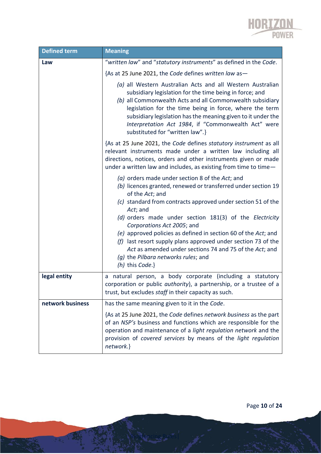

| <b>Defined term</b> | <b>Meaning</b>                                                                                                                                                                                                                                                                                                                                                                                          |
|---------------------|---------------------------------------------------------------------------------------------------------------------------------------------------------------------------------------------------------------------------------------------------------------------------------------------------------------------------------------------------------------------------------------------------------|
| Law                 | "written law" and "statutory instruments" as defined in the Code.                                                                                                                                                                                                                                                                                                                                       |
|                     | {As at 25 June 2021, the Code defines written law as-                                                                                                                                                                                                                                                                                                                                                   |
|                     | (a) all Western Australian Acts and all Western Australian<br>subsidiary legislation for the time being in force; and<br>(b) all Commonwealth Acts and all Commonwealth subsidiary<br>legislation for the time being in force, where the term<br>subsidiary legislation has the meaning given to it under the<br>Interpretation Act 1984, if "Commonwealth Act" were<br>substituted for "written law".} |
|                     | {As at 25 June 2021, the Code defines statutory instrument as all<br>relevant instruments made under a written law including all<br>directions, notices, orders and other instruments given or made<br>under a written law and includes, as existing from time to time-                                                                                                                                 |
|                     | (a) orders made under section 8 of the Act; and<br>(b) licences granted, renewed or transferred under section 19<br>of the Act; and<br>(c) standard from contracts approved under section 51 of the<br>Act; and                                                                                                                                                                                         |
|                     | (d) orders made under section 181(3) of the Electricity<br>Corporations Act 2005; and<br>(e) approved policies as defined in section 60 of the Act; and<br>$(f)$ last resort supply plans approved under section 73 of the<br>Act as amended under sections 74 and 75 of the Act; and<br>(g) the Pilbara networks rules; and<br>(h) this Code.}                                                         |
| legal entity        | natural person, a body corporate (including a statutory<br>a<br>corporation or public authority), a partnership, or a trustee of a<br>trust, but excludes staff in their capacity as such.                                                                                                                                                                                                              |
| network business    | has the same meaning given to it in the Code.                                                                                                                                                                                                                                                                                                                                                           |
|                     | {As at 25 June 2021, the Code defines network business as the part<br>of an NSP's business and functions which are responsible for the<br>operation and maintenance of a light regulation network and the<br>provision of covered services by means of the light regulation<br>network.}                                                                                                                |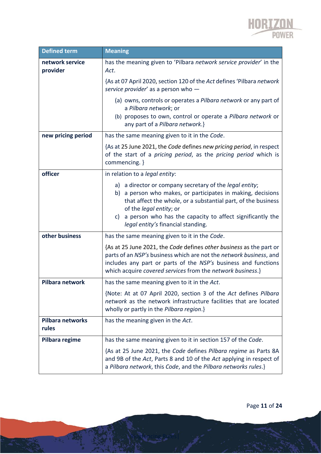

| <b>Defined term</b>         | <b>Meaning</b>                                                                                                                                                                                                                                                                                                                            |
|-----------------------------|-------------------------------------------------------------------------------------------------------------------------------------------------------------------------------------------------------------------------------------------------------------------------------------------------------------------------------------------|
| network service<br>provider | has the meaning given to 'Pilbara network service provider' in the<br>Act.                                                                                                                                                                                                                                                                |
|                             | {As at 07 April 2020, section 120 of the Act defines 'Pilbara network<br>service provider' as a person who -                                                                                                                                                                                                                              |
|                             | (a) owns, controls or operates a Pilbara network or any part of<br>a Pilbara network; or<br>(b) proposes to own, control or operate a Pilbara network or<br>any part of a Pilbara network.}                                                                                                                                               |
| new pricing period          | has the same meaning given to it in the Code.                                                                                                                                                                                                                                                                                             |
|                             | {As at 25 June 2021, the Code defines new pricing period, in respect<br>of the start of a pricing period, as the pricing period which is<br>commencing. }                                                                                                                                                                                 |
| officer                     | in relation to a legal entity:                                                                                                                                                                                                                                                                                                            |
|                             | a director or company secretary of the <i>legal entity</i> ;<br>a)<br>a person who makes, or participates in making, decisions<br>b)<br>that affect the whole, or a substantial part, of the business<br>of the legal entity; or<br>a person who has the capacity to affect significantly the<br>C)<br>legal entity's financial standing. |
| other business              | has the same meaning given to it in the Code.                                                                                                                                                                                                                                                                                             |
|                             | {As at 25 June 2021, the Code defines other business as the part or<br>parts of an NSP's business which are not the network business, and<br>includes any part or parts of the NSP's business and functions<br>which acquire covered services from the network business.}                                                                 |
| Pilbara network             | has the same meaning given to it in the Act.                                                                                                                                                                                                                                                                                              |
|                             | {Note: At at 07 April 2020, section 3 of the Act defines Pilbara<br>network as the network infrastructure facilities that are located<br>wholly or partly in the Pilbara region.}                                                                                                                                                         |
| Pilbara networks<br>rules   | has the meaning given in the Act.                                                                                                                                                                                                                                                                                                         |
| Pilbara regime              | has the same meaning given to it in section 157 of the Code.                                                                                                                                                                                                                                                                              |
|                             | {As at 25 June 2021, the Code defines Pilbara regime as Parts 8A<br>and 9B of the Act, Parts 8 and 10 of the Act applying in respect of<br>a Pilbara network, this Code, and the Pilbara networks rules.}                                                                                                                                 |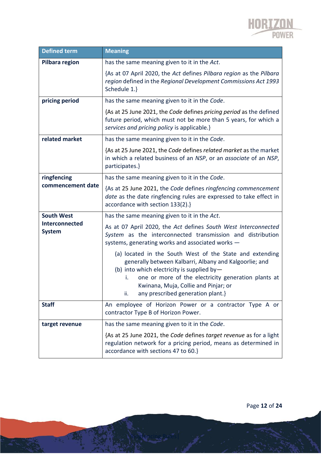

| <b>Defined term</b>             | <b>Meaning</b>                                                                                                                                                                                                                                                                                                    |
|---------------------------------|-------------------------------------------------------------------------------------------------------------------------------------------------------------------------------------------------------------------------------------------------------------------------------------------------------------------|
| <b>Pilbara region</b>           | has the same meaning given to it in the Act.                                                                                                                                                                                                                                                                      |
|                                 | {As at 07 April 2020, the Act defines Pilbara region as the Pilbara<br>region defined in the Regional Development Commissions Act 1993<br>Schedule 1.}                                                                                                                                                            |
| pricing period                  | has the same meaning given to it in the Code.                                                                                                                                                                                                                                                                     |
|                                 | {As at 25 June 2021, the Code defines pricing period as the defined<br>future period, which must not be more than 5 years, for which a<br>services and pricing policy is applicable.}                                                                                                                             |
| related market                  | has the same meaning given to it in the Code.                                                                                                                                                                                                                                                                     |
|                                 | {As at 25 June 2021, the Code defines related market as the market<br>in which a related business of an NSP, or an associate of an NSP,<br>participates.}                                                                                                                                                         |
| ringfencing                     | has the same meaning given to it in the Code.                                                                                                                                                                                                                                                                     |
| commencement date               | {As at 25 June 2021, the Code defines ringfencing commencement<br>date as the date ringfencing rules are expressed to take effect in<br>accordance with section 133(2).}                                                                                                                                          |
| <b>South West</b>               | has the same meaning given to it in the Act.                                                                                                                                                                                                                                                                      |
| Interconnected<br><b>System</b> | As at 07 April 2020, the Act defines South West Interconnected<br>System as the interconnected transmission and distribution<br>systems, generating works and associated works -                                                                                                                                  |
|                                 | (a) located in the South West of the State and extending<br>generally between Kalbarri, Albany and Kalgoorlie; and<br>(b) into which electricity is supplied by-<br>one or more of the electricity generation plants at<br>i.<br>Kwinana, Muja, Collie and Pinjar; or<br>any prescribed generation plant.}<br>ii. |
| <b>Staff</b>                    | An employee of Horizon Power or a contractor Type A or<br>contractor Type B of Horizon Power.                                                                                                                                                                                                                     |
| target revenue                  | has the same meaning given to it in the Code.                                                                                                                                                                                                                                                                     |
|                                 | {As at 25 June 2021, the Code defines target revenue as for a light<br>regulation network for a pricing period, means as determined in<br>accordance with sections 47 to 60.}                                                                                                                                     |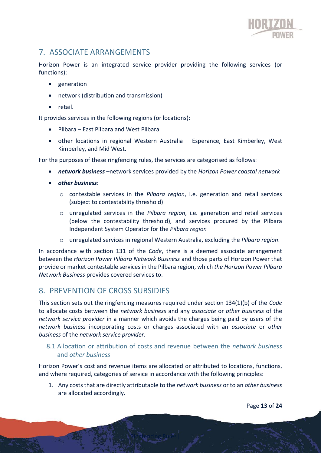

# <span id="page-12-0"></span>7. ASSOCIATE ARRANGEMENTS

Horizon Power is an integrated service provider providing the following services (or functions):

- generation
- network (distribution and transmission)
- retail.

It provides services in the following regions (or locations):

- Pilbara East Pilbara and West Pilbara
- other locations in regional Western Australia Esperance, East Kimberley, West Kimberley, and Mid West.

For the purposes of these ringfencing rules, the services are categorised as follows:

- *network business* –network services provided by the *Horizon Power coastal network*
- *other business*:
	- o contestable services in the *Pilbara region*, i.e. generation and retail services (subject to contestability threshold)
	- o unregulated services in the *Pilbara region*, i.e. generation and retail services (below the contestability threshold), and services procured by the Pilbara Independent System Operator for the *Pilbara region*
	- o unregulated services in regional Western Australia, excluding the *Pilbara region*.

In accordance with section 131 of the *Code*, there is a deemed associate arrangement between the *Horizon Power Pilbara Network Business* and those parts of Horizon Power that provide or market contestable services in the Pilbara region, which *the Horizon Power Pilbara Network Business* provides covered services to.

# <span id="page-12-1"></span>8. PREVENTION OF CROSS SUBSIDIES

This section sets out the ringfencing measures required under section 134(1)(b) of the *Code*  to allocate costs between the *network business* and any *associate* or *other business* of the *network service provider* in a manner which avoids the charges being paid by users of the *network business* incorporating costs or charges associated with an *associate* or *other business* of the *network service provider*.

#### 8.1 Allocation or attribution of costs and revenue between the *network business* and *other business*

Horizon Power's cost and revenue items are allocated or attributed to locations, functions, and where required, categories of service in accordance with the following principles:

Ringfencing Rules|

1. Any costs that are directly attributable to the *network business* or to an *other business* are allocated accordingly.

Page **13** of **24**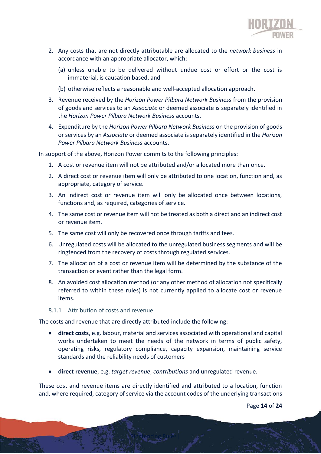

- 2. Any costs that are not directly attributable are allocated to the *network business* in accordance with an appropriate allocator, which:
	- (a) unless unable to be delivered without undue cost or effort or the cost is immaterial, is causation based, and
	- (b) otherwise reflects a reasonable and well-accepted allocation approach.
- 3. Revenue received by the *Horizon Power Pilbara Network Business* from the provision of goods and services to an *Associate* or deemed associate is separately identified in the *Horizon Power Pilbara Network Business* accounts.
- 4. Expenditure by the *Horizon Power Pilbara Network Business* on the provision of goods or services by an *Associate* or deemed associate is separately identified in the *Horizon Power Pilbara Network Business* accounts.

In support of the above, Horizon Power commits to the following principles:

- 1. A cost or revenue item will not be attributed and/or allocated more than once.
- 2. A direct cost or revenue item will only be attributed to one location, function and, as appropriate, category of service.
- 3. An indirect cost or revenue item will only be allocated once between locations, functions and, as required, categories of service.
- 4. The same cost or revenue item will not be treated as both a direct and an indirect cost or revenue item.
- 5. The same cost will only be recovered once through tariffs and fees.
- 6. Unregulated costs will be allocated to the unregulated business segments and will be ringfenced from the recovery of costs through regulated services.
- 7. The allocation of a cost or revenue item will be determined by the substance of the transaction or event rather than the legal form.
- 8. An avoided cost allocation method (or any other method of allocation not specifically referred to within these rules) is not currently applied to allocate cost or revenue items.
- 8.1.1 Attribution of costs and revenue

The costs and revenue that are directly attributed include the following:

- **direct costs**, e.g. labour, material and services associated with operational and capital works undertaken to meet the needs of the network in terms of public safety, operating risks, regulatory compliance, capacity expansion, maintaining service standards and the reliability needs of customers
- **direct revenue**, e.g. *target revenue*, *contributions* and unregulated revenue.

Ringfencing Rules|

These cost and revenue items are directly identified and attributed to a location, function and, where required, category of service via the account codes of the underlying transactions

Page **14** of **24**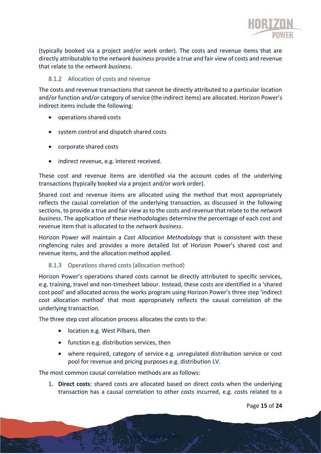

(typically booked via a project and/or work order). The costs and revenue items that are directly attributable to the *network business* provide a true and fair view of costs and revenue that relate to the *network business*.

#### 8.1.2 Allocation of costs and revenue

The costs and revenue transactions that cannot be directly attributed to a particular location and/or function and/or category of service (the indirect items) are allocated. Horizon Power's indirect items include the following:

- operations shared costs
- system control and dispatch shared costs
- corporate shared costs
- indirect revenue, e.g. interest received.

These cost and revenue items are identified via the account codes of the underlying transactions (typically booked via a project and/or work order).

Shared cost and revenue items are allocated using the method that most appropriately reflects the causal correlation of the underlying transaction, as discussed in the following sections, to provide a true and fair view as to the costs and revenue that relate to the *network business*. The application of these methodologies determine the percentage of each cost and revenue item that is allocated to the *network business*.

Horizon Power will maintain a *Cost Allocation Methodology* that is consistent with these ringfencing rules and provides a more detailed list of Horizon Power's shared cost and revenue items, and the allocation method applied.

#### 8.1.3 Operations shared costs (allocation method)

Horizon Power's operations shared costs cannot be directly attributed to specific services, e.g. training, travel and non-timesheet labour. Instead, these costs are identified in a 'shared cost pool' and allocated across the works program using Horizon Power's three step 'indirect cost allocation method' that most appropriately reflects the causal correlation of the underlying transaction.

The three step cost allocation process allocates the costs to the:

- location e.g. West Pilbara, then
- function e.g. distribution services, then
- where required, category of service e.g. unregulated distribution service or cost pool for revenue and pricing purposes e.g. distribution LV.

The most common causal correlation methods are as follows:

1. **Direct costs**: shared costs are allocated based on direct costs when the underlying transaction has a causal correlation to other costs incurred, e.g. costs related to a

Ringfencing Rules|

Page **15** of **24**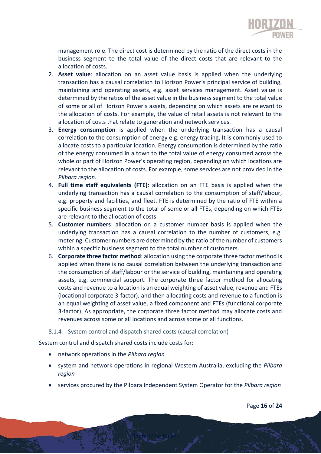

management role. The direct cost is determined by the ratio of the direct costs in the business segment to the total value of the direct costs that are relevant to the allocation of costs.

- 2. **Asset value**: allocation on an asset value basis is applied when the underlying transaction has a causal correlation to Horizon Power's principal service of building, maintaining and operating assets, e.g. asset services management. Asset value is determined by the ratios of the asset value in the business segment to the total value of some or all of Horizon Power's assets, depending on which assets are relevant to the allocation of costs. For example, the value of retail assets is not relevant to the allocation of costs that relate to generation and network services.
- 3. **Energy consumption** is applied when the underlying transaction has a causal correlation to the consumption of energy e.g. energy trading. It is commonly used to allocate costs to a particular location. Energy consumption is determined by the ratio of the energy consumed in a town to the total value of energy consumed across the whole or part of Horizon Power's operating region, depending on which locations are relevant to the allocation of costs. For example, some services are not provided in the *Pilbara region*.
- 4. **Full time staff equivalents (FTE)**: allocation on an FTE basis is applied when the underlying transaction has a causal correlation to the consumption of staff/labour, e.g. property and facilities, and fleet. FTE is determined by the ratio of FTE within a specific business segment to the total of some or all FTEs, depending on which FTEs are relevant to the allocation of costs.
- 5. **Customer numbers**: allocation on a customer number basis is applied when the underlying transaction has a causal correlation to the number of customers, e.g. metering. Customer numbers are determined by the ratio of the number of customers within a specific business segment to the total number of customers.
- 6. **Corporate three factor method**: allocation using the corporate three factor method is applied when there is no causal correlation between the underlying transaction and the consumption of staff/labour or the service of building, maintaining and operating assets, e.g. commercial support. The corporate three factor method for allocating costs and revenue to a location is an equal weighting of asset value, revenue and FTEs (locational corporate 3-factor), and then allocating costs and revenue to a function is an equal weighting of asset value, a fixed component and FTEs (functional corporate 3-factor). As appropriate, the corporate three factor method may allocate costs and revenues across some or all locations and across some or all functions.

#### 8.1.4 System control and dispatch shared costs (causal correlation)

System control and dispatch shared costs include costs for:

- network operations in the *Pilbara region*
- system and network operations in regional Western Australia, excluding the *Pilbara region*
- services procured by the Pilbara Independent System Operator for the *Pilbara region*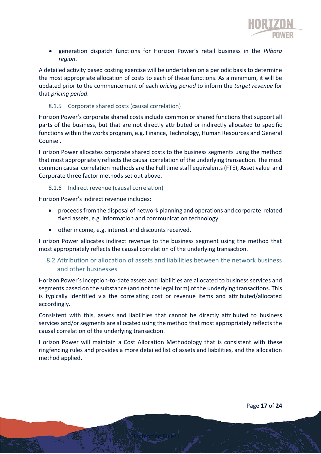

• generation dispatch functions for Horizon Power's retail business in the *Pilbara region*.

A detailed activity based costing exercise will be undertaken on a periodic basis to determine the most appropriate allocation of costs to each of these functions. As a minimum, it will be updated prior to the commencement of each *pricing period* to inform the *target revenue* for that *pricing period*.

#### 8.1.5 Corporate shared costs (causal correlation)

Horizon Power's corporate shared costs include common or shared functions that support all parts of the business, but that are not directly attributed or indirectly allocated to specific functions within the works program, e.g. Finance, Technology, Human Resources and General Counsel.

Horizon Power allocates corporate shared costs to the business segments using the method that most appropriately reflects the causal correlation of the underlying transaction. The most common causal correlation methods are the Full time staff equivalents (FTE), Asset value and Corporate three factor methods set out above.

#### 8.1.6 Indirect revenue (causal correlation)

Horizon Power's indirect revenue includes:

- proceeds from the disposal of network planning and operations and corporate-related fixed assets, e.g. information and communication technology
- other income, e.g. interest and discounts received.

Horizon Power allocates indirect revenue to the business segment using the method that most appropriately reflects the causal correlation of the underlying transaction.

#### 8.2 Attribution or allocation of assets and liabilities between the network business and other businesses

Horizon Power's inception-to-date assets and liabilities are allocated to business services and segments based on the substance (and not the legal form) of the underlying transactions. This is typically identified via the correlating cost or revenue items and attributed/allocated accordingly.

Consistent with this, assets and liabilities that cannot be directly attributed to business services and/or segments are allocated using the method that most appropriately reflects the causal correlation of the underlying transaction.

Horizon Power will maintain a Cost Allocation Methodology that is consistent with these ringfencing rules and provides a more detailed list of assets and liabilities, and the allocation method applied.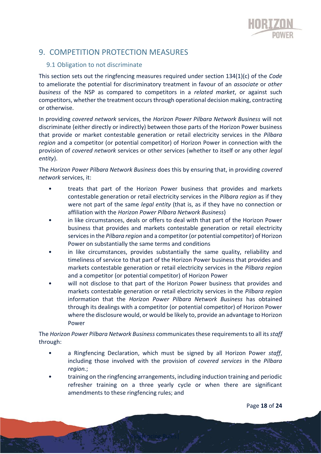

# <span id="page-17-0"></span>9. COMPETITION PROTECTION MEASURES

#### 9.1 Obligation to not discriminate

This section sets out the ringfencing measures required under section 134(1)(c) of the *Code* to ameliorate the potential for discriminatory treatment in favour of an *associate* or *other business* of the NSP as compared to competitors in a *related market*, or against such competitors, whether the treatment occurs through operational decision making, contracting or otherwise.

In providing *covered network* services, the *Horizon Power Pilbara Network Business* will not discriminate (either directly or indirectly) between those parts of the Horizon Power business that provide or market contestable generation or retail electricity services in the *Pilbara region* and a competitor (or potential competitor) of Horizon Power in connection with the provision of *covered network* services or other services (whether to itself or any other *legal entity*).

The *Horizon Power Pilbara Network Business* does this by ensuring that, in providing *covered network* services, it:

- treats that part of the Horizon Power business that provides and markets contestable generation or retail electricity services in the *Pilbara region* as if they were not part of the same *legal entity* (that is, as if they have no connection or affiliation with the *Horizon Power Pilbara Network Business*)
- in like circumstances, deals or offers to deal with that part of the Horizon Power business that provides and markets contestable generation or retail electricity services in the *Pilbara region* and a competitor (or potential competitor) of Horizon Power on substantially the same terms and conditions
- in like circumstances, provides substantially the same quality, reliability and timeliness of service to that part of the Horizon Power business that provides and markets contestable generation or retail electricity services in the *Pilbara region* and a competitor (or potential competitor) of Horizon Power
- will not disclose to that part of the Horizon Power business that provides and markets contestable generation or retail electricity services in the *Pilbara region* information that the *Horizon Power Pilbara Network Business* has obtained through its dealings with a competitor (or potential competitor) of Horizon Power where the disclosure would, or would be likely to, provide an advantage to Horizon Power

The *Horizon Power Pilbara Network Business* communicatesthese requirements to all its *staff* through:

- a Ringfencing Declaration, which must be signed by all Horizon Power *staff*, including those involved with the provision of *covered services* in the *Pilbara region.*;
- training on the ringfencing arrangements, including induction training and periodic refresher training on a three yearly cycle or when there are significant amendments to these ringfencing rules; and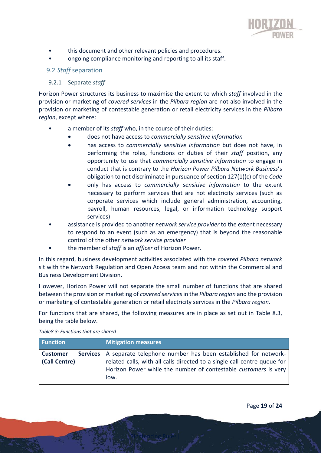

- this document and other relevant policies and procedures.
- ongoing compliance monitoring and reporting to all its staff.

#### 9.2 *Staff* separation

#### 9.2.1 Separate *staff*

Horizon Power structures its business to maximise the extent to which *staff* involved in the provision or marketing of *covered services* in the *Pilbara region* are not also involved in the provision or marketing of contestable generation or retail electricity services in the *Pilbara region*, except where:

- a member of its *staff* who, in the course of their duties:
	- does not have access to *commercially sensitive information*
	- has access to *commercially sensitive information* but does not have, in performing the roles, functions or duties of their *staff* position, any opportunity to use that *commercially sensitive information* to engage in conduct that is contrary to the *Horizon Power Pilbara Network Business*'s obligation to not discriminate in pursuance of section 127(1)(c) of the *Code*
	- only has access to *commercially sensitive information* to the extent necessary to perform services that are not electricity services (such as corporate services which include general administration, accounting, payroll, human resources, legal, or information technology support services)
- assistance is provided to another *network service provider* to the extent necessary to respond to an event (such as an emergency) that is beyond the reasonable control of the other *network service provider*
- the member of *staff* is an *officer* of Horizon Power.

In this regard, business development activities associated with the *covered Pilbara network* sit with the Network Regulation and Open Access team and not within the Commercial and Business Development Division.

However, Horizon Power will not separate the small number of functions that are shared between the provision or marketing of *covered services* in the *Pilbara region* and the provision or marketing of contestable generation or retail electricity services in the *Pilbara region*.

For functions that are shared, the following measures are in place as set out in Table 8.3, being the table below.

| <b>Function</b>                         | Mitigation measures                                                                                                                                                                                                             |
|-----------------------------------------|---------------------------------------------------------------------------------------------------------------------------------------------------------------------------------------------------------------------------------|
| <b>Customer</b><br><b>(Call Centre)</b> | Services   A separate telephone number has been established for network-<br>related calls, with all calls directed to a single call centre queue for<br>Horizon Power while the number of contestable customers is very<br>low. |

Ringfencing Rules|

*Table8.3: Functions that are shared*

Page **19** of **24**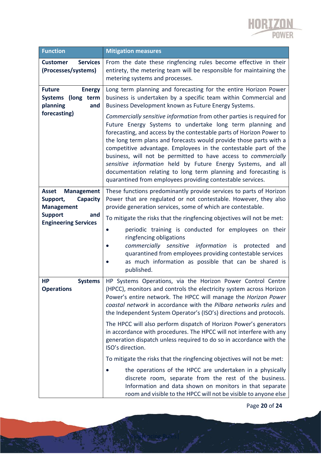

| <b>Function</b>                                                                | <b>Mitigation measures</b>                                                                                                                                                                                                                                                                                                                                                                                                                                                                                                                                                                                             |
|--------------------------------------------------------------------------------|------------------------------------------------------------------------------------------------------------------------------------------------------------------------------------------------------------------------------------------------------------------------------------------------------------------------------------------------------------------------------------------------------------------------------------------------------------------------------------------------------------------------------------------------------------------------------------------------------------------------|
| <b>Services</b><br><b>Customer</b><br>(Processes/systems)                      | From the date these ringfencing rules become effective in their<br>entirety, the metering team will be responsible for maintaining the<br>metering systems and processes.                                                                                                                                                                                                                                                                                                                                                                                                                                              |
| <b>Future</b><br><b>Energy</b><br>Systems (long term<br>planning<br>and        | Long term planning and forecasting for the entire Horizon Power<br>business is undertaken by a specific team within Commercial and<br>Business Development known as Future Energy Systems.                                                                                                                                                                                                                                                                                                                                                                                                                             |
| forecasting)                                                                   | Commercially sensitive information from other parties is required for<br>Future Energy Systems to undertake long term planning and<br>forecasting, and access by the contestable parts of Horizon Power to<br>the long term plans and forecasts would provide those parts with a<br>competitive advantage. Employees in the contestable part of the<br>business, will not be permitted to have access to commercially<br>sensitive information held by Future Energy Systems, and all<br>documentation relating to long term planning and forecasting is<br>quarantined from employees providing contestable services. |
| <b>Management</b><br><b>Asset</b><br>Capacity<br>Support,<br><b>Management</b> | These functions predominantly provide services to parts of Horizon<br>Power that are regulated or not contestable. However, they also<br>provide generation services, some of which are contestable.                                                                                                                                                                                                                                                                                                                                                                                                                   |
| <b>Support</b><br>and                                                          | To mitigate the risks that the ringfencing objectives will not be met:                                                                                                                                                                                                                                                                                                                                                                                                                                                                                                                                                 |
| <b>Engineering Services</b>                                                    | periodic training is conducted for employees on their                                                                                                                                                                                                                                                                                                                                                                                                                                                                                                                                                                  |
|                                                                                | ringfencing obligations<br>commercially sensitive information is protected<br>and<br>$\bullet$                                                                                                                                                                                                                                                                                                                                                                                                                                                                                                                         |
|                                                                                | quarantined from employees providing contestable services<br>as much information as possible that can be shared is<br>published.                                                                                                                                                                                                                                                                                                                                                                                                                                                                                       |
| <b>Systems</b><br>HР<br>Operations                                             | HP Systems Operations, via the Horizon Power Control Centre<br>(HPCC), monitors and controls the electricity system across Horizon<br>Power's entire network. The HPCC will manage the Horizon Power<br>coastal network in accordance with the Pilbara networks rules and<br>the Independent System Operator's (ISO's) directions and protocols.                                                                                                                                                                                                                                                                       |
|                                                                                | The HPCC will also perform dispatch of Horizon Power's generators<br>in accordance with procedures. The HPCC will not interfere with any<br>generation dispatch unless required to do so in accordance with the<br>ISO's direction.                                                                                                                                                                                                                                                                                                                                                                                    |
|                                                                                | To mitigate the risks that the ringfencing objectives will not be met:                                                                                                                                                                                                                                                                                                                                                                                                                                                                                                                                                 |
|                                                                                | the operations of the HPCC are undertaken in a physically<br>discrete room, separate from the rest of the business.<br>Information and data shown on monitors in that separate<br>room and visible to the HPCC will not be visible to anyone else                                                                                                                                                                                                                                                                                                                                                                      |

Page **20** of **24**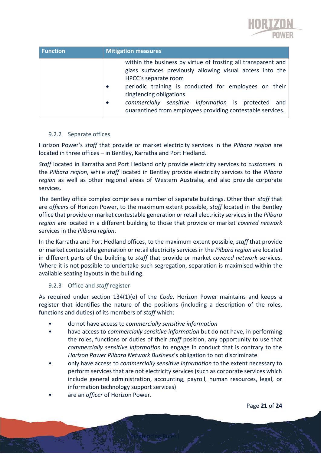

| <b>Function</b> | <b>Mitigation measures</b>                                                                                                                                                                                                                          |
|-----------------|-----------------------------------------------------------------------------------------------------------------------------------------------------------------------------------------------------------------------------------------------------|
|                 | within the business by virtue of frosting all transparent and<br>glass surfaces previously allowing visual access into the<br>HPCC's separate room<br>periodic training is conducted for employees on their<br>$\bullet$<br>ringfencing obligations |
|                 | commercially sensitive information is protected and<br>$\bullet$<br>quarantined from employees providing contestable services.                                                                                                                      |

#### 9.2.2 Separate offices

Horizon Power's *staff* that provide or market electricity services in the *Pilbara region* are located in three offices – in Bentley, Karratha and Port Hedland.

*Staff* located in Karratha and Port Hedland only provide electricity services to *customers* in the *Pilbara region*, while *staff* located in Bentley provide electricity services to the *Pilbara region* as well as other regional areas of Western Australia, and also provide corporate services.

The Bentley office complex comprises a number of separate buildings. Other than *staff* that are *officer*s of Horizon Power, to the maximum extent possible, *staff* located in the Bentley office that provide or market contestable generation or retail electricity services in the *Pilbara region* are located in a different building to those that provide or market *covered network* services in the *Pilbara region*.

In the Karratha and Port Hedland offices, to the maximum extent possible, *staff* that provide or market contestable generation or retail electricity services in the *Pilbara region* are located in different parts of the building to *staff* that provide or market *covered network* services. Where it is not possible to undertake such segregation, separation is maximised within the available seating layouts in the building.

#### 9.2.3 Office and *staff* register

As required under section 134(1)(e) of the *Code*, Horizon Power maintains and keeps a register that identifies the nature of the positions (including a description of the roles, functions and duties) of its members of *staff* which:

- do not have access to *commercially sensitive information*
- have access to *commercially sensitive information* but do not have, in performing the roles, functions or duties of their *staff* position, any opportunity to use that *commercially sensitive information* to engage in conduct that is contrary to the *Horizon Power Pilbara Network Business*'s obligation to not discriminate
- only have access to *commercially sensitive information* to the extent necessary to perform services that are not electricity services (such as corporate services which include general administration, accounting, payroll, human resources, legal, or information technology support services)

Ringfencing Rules|

• are an *officer* of Horizon Power.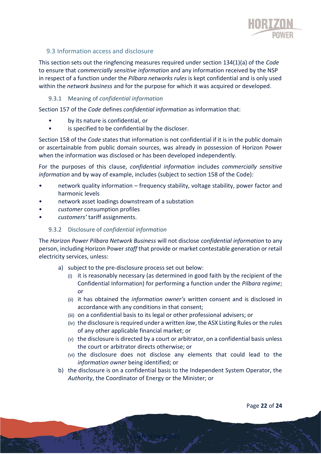

#### 9.3 Information access and disclosure

This section sets out the ringfencing measures required under section 134(1)(a) of the *Code* to ensure that *commercially sensitive information* and any information received by the NSP in respect of a function under the *Pilbara networks rules* is kept confidential and is only used within the *network business* and for the purpose for which it was acquired or developed.

#### 9.3.1 Meaning of *confidential information*

Section 157 of the *Code* defines *confidential information* as information that:

- by its nature is confidential, or
- is specified to be confidential by the discloser.

Section 158 of the *Code* states that information is not confidential if it is in the public domain or ascertainable from public domain sources, was already in possession of Horizon Power when the information was disclosed or has been developed independently.

For the purposes of this clause, *confidential information* includes *commercially sensitive information* and by way of example, includes (subject to section 158 of the Code):

- network quality information frequency stability, voltage stability, power factor and harmonic levels
- network asset loadings downstream of a substation
- *customer* consumption profiles
- *customers'* tariff assignments.

#### 9.3.2 Disclosure of *confidential information*

The *Horizon Power Pilbara Network Business* will not disclose *confidential information* to any person, including Horizon Power *staff* that provide or market contestable generation or retail electricity services, unless:

- a) subject to the pre-disclosure process set out below:
	- (i) it is reasonably necessary (as determined in good faith by the recipient of the Confidential Information) for performing a function under the *Pilbara regime*; or
	- (ii) it has obtained the *information owner's* written consent and is disclosed in accordance with any conditions in that consent;
	- (iii) on a confidential basis to its legal or other professional advisers; or
	- (iv) the disclosure is required under a written *law*, the ASX Listing Rules or the rules of any other applicable financial market; or
	- (v) the disclosure is directed by a court or arbitrator, on a confidential basis unless the court or arbitrator directs otherwise; or
	- (vi) the disclosure does not disclose any elements that could lead to the *information owner* being identified; or
- b) the disclosure is on a confidential basis to the Independent System Operator, the *Authority*, the Coordinator of Energy or the Minister; or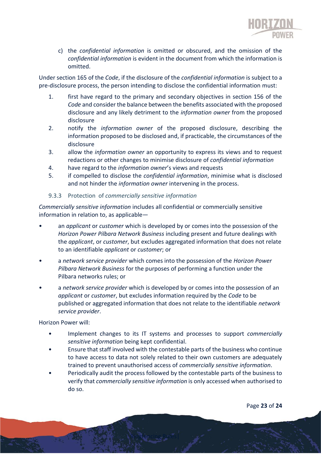

c) the *confidential information* is omitted or obscured, and the omission of the *confidential information* is evident in the document from which the information is omitted.

Under section 165 of the *Code*, if the disclosure of the *confidential information* is subject to a pre-disclosure process, the person intending to disclose the confidential information must:

- 1. first have regard to the primary and secondary objectives in section 156 of the *Code* and consider the balance between the benefits associated with the proposed disclosure and any likely detriment to the *information owner* from the proposed disclosure
- 2. notify the *information owner* of the proposed disclosure, describing the information proposed to be disclosed and, if practicable, the circumstances of the disclosure
- 3. allow the *information owner* an opportunity to express its views and to request redactions or other changes to minimise disclosure of *confidential information*
- 4. have regard to the *information owner*'s views and requests
- 5. if compelled to disclose the *confidential information*, minimise what is disclosed and not hinder the *information owner* intervening in the process.

#### 9.3.3 Protection of *commercially sensitive information*

*Commercially sensitive information* includes all confidential or commercially sensitive information in relation to, as applicable―

- an *applicant* or *customer* which is developed by or comes into the possession of the *Horizon Power Pilbara Network Business* including present and future dealings with the *applicant*, or *customer*, but excludes aggregated information that does not relate to an identifiable *applicant* or *customer*; or
- a *network service provider* which comes into the possession of the *Horizon Power Pilbara Network Business* for the purposes of performing a function under the Pilbara networks rules; or
- a *network service provider* which is developed by or comes into the possession of an *applicant* or *customer*, but excludes information required by the *Code* to be published or aggregated information that does not relate to the identifiable *network service provider*.

Horizon Power will:

- Implement changes to its IT systems and processes to support *commercially sensitive information* being kept confidential.
- Ensure that staff involved with the contestable parts of the business who continue to have access to data not solely related to their own customers are adequately trained to prevent unauthorised access of *commercially sensitive information*.
- Periodically audit the process followed by the contestable parts of the business to verify that *commercially sensitive information* is only accessed when authorised to do so.

Ringfencing Rules|

Page **23** of **24**